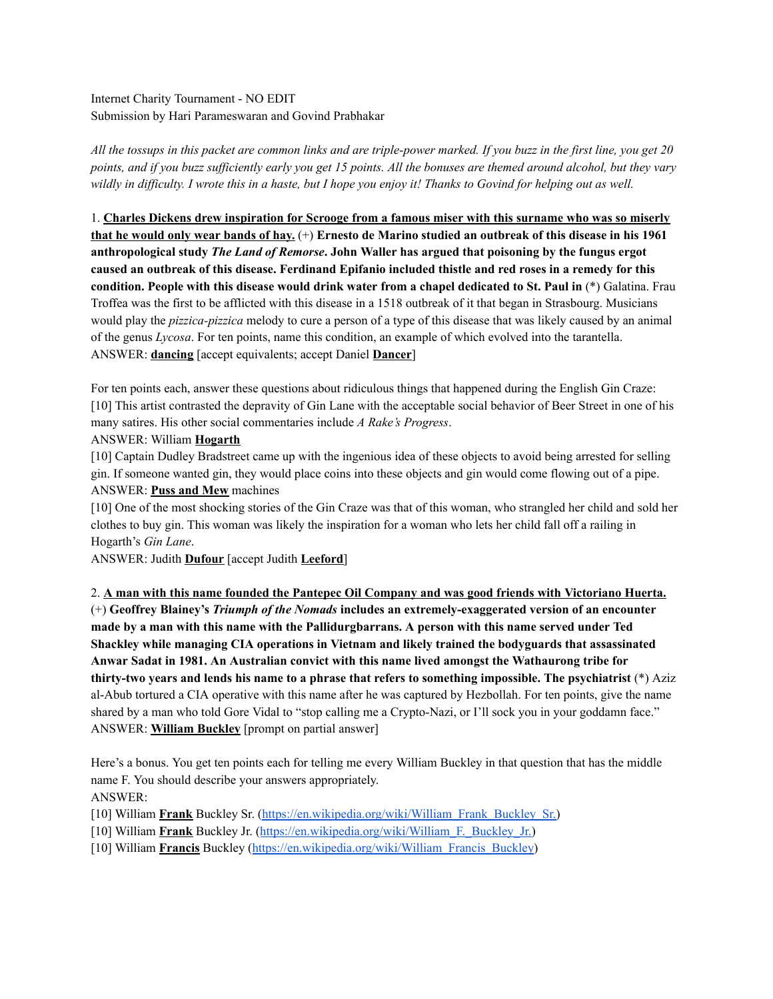Internet Charity Tournament - NO EDIT Submission by Hari Parameswaran and Govind Prabhakar

All the tossups in this packet are common links and are triple-power marked. If you buzz in the first line, you get 20 points, and if you buzz sufficiently early you get 15 points. All the bonuses are themed around alcohol, but they vary wildly in difficulty. I wrote this in a haste, but I hope you enjoy it! Thanks to Govind for helping out as well.

1. **Charles Dickens drew inspiration for Scrooge from a famous miser with this surname who was so miserly** that he would only wear bands of hay.  $(+)$  Ernesto de Marino studied an outbreak of this disease in his 1961 **anthropological study** *The Land of Remorse***. John Waller has argued that poisoning by the fungus ergot** caused an outbreak of this disease. Ferdinand Epifanio included thistle and red roses in a remedy for this **condition. People with this disease would drink water from a chapel dedicated to St. Paul in** (\*) Galatina. Frau Troffea was the first to be afflicted with this disease in a 1518 outbreak of it that began in Strasbourg. Musicians would play the *pizzica-pizzica* melody to cure a person of a type of this disease that was likely caused by an animal of the genus *Lycosa*. For ten points, name this condition, an example of which evolved into the tarantella. ANSWER: **dancing** [accept equivalents; accept Daniel **Dancer**]

For ten points each, answer these questions about ridiculous things that happened during the English Gin Craze: [10] This artist contrasted the depravity of Gin Lane with the acceptable social behavior of Beer Street in one of his many satires. His other social commentaries include *A Rake's Progress*.

#### ANSWER: William **Hogarth**

[10] Captain Dudley Bradstreet came up with the ingenious idea of these objects to avoid being arrested for selling gin. If someone wanted gin, they would place coins into these objects and gin would come flowing out of a pipe. ANSWER: **Puss and Mew** machines

[10] One of the most shocking stories of the Gin Craze was that of this woman, who strangled her child and sold her clothes to buy gin. This woman was likely the inspiration for a woman who lets her child fall off a railing in Hogarth's *Gin Lane*.

ANSWER: Judith **Dufour** [accept Judith **Leeford**]

2. **A man with this name founded the Pantepec Oil Company and was good friends with Victoriano Huerta.** (+) **Geoffrey Blainey's** *Triumph of the Nomads* **includes an extremely-exaggerated version of an encounter made by a man with this name with the Pallidurgbarrans. A person with this name served under Ted Shackley while managing CIA operations in Vietnam and likely trained the bodyguards that assassinated Anwar Sadat in 1981. An Australian convict with this name lived amongst the Wathaurong tribe for thirty-two years and lends his name to a phrase that refers to something impossible. The psychiatrist** (\*) Aziz al-Abub tortured a CIA operative with this name after he was captured by Hezbollah. For ten points, give the name shared by a man who told Gore Vidal to "stop calling me a Crypto-Nazi, or I'll sock you in your goddamn face." ANSWER: **William Buckley** [prompt on partial answer]

Here's a bonus. You get ten points each for telling me every William Buckley in that question that has the middle name F. You should describe your answers appropriately. ANSWER:

[10] William **Frank** Buckley Sr. ([https://en.wikipedia.org/wiki/William\\_Frank\\_Buckley\\_Sr.](https://en.wikipedia.org/wiki/William_Frank_Buckley_Sr.))

- [10] William **Frank** Buckley Jr. ([https://en.wikipedia.org/wiki/William\\_F.\\_Buckley\\_Jr.\)](https://en.wikipedia.org/wiki/William_F._Buckley_Jr.)
- [10] William **Francis** Buckley ([https://en.wikipedia.org/wiki/William\\_Francis\\_Buckley](https://en.wikipedia.org/wiki/William_Francis_Buckley))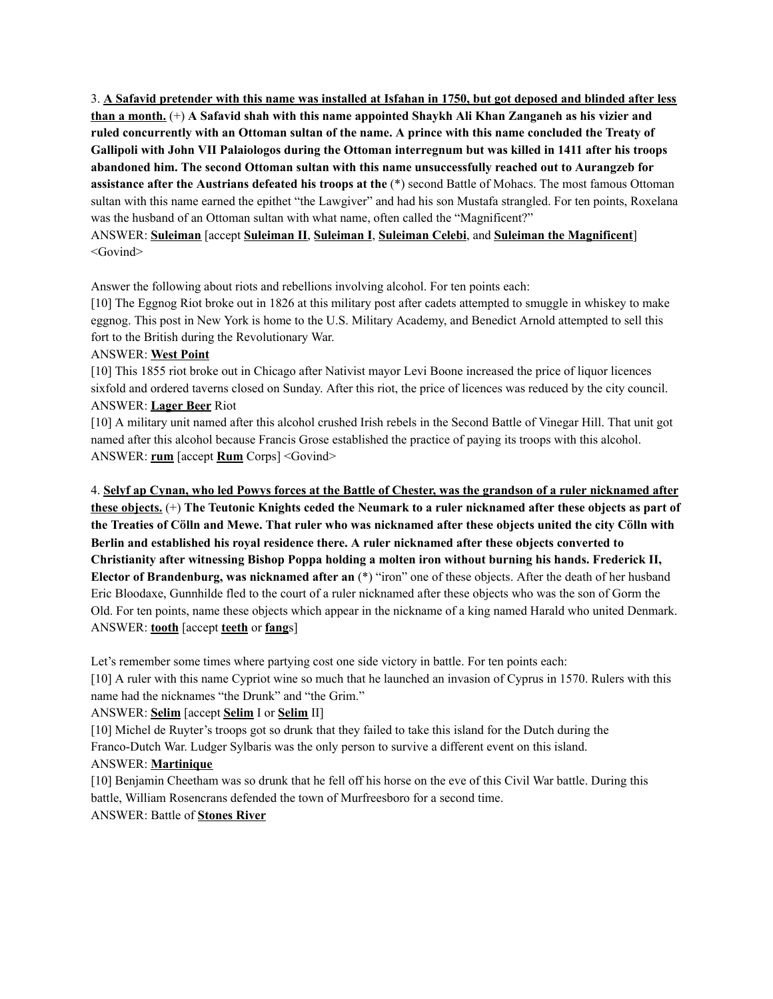3. A Safavid pretender with this name was installed at Isfahan in 1750, but got deposed and blinded after less than a month.  $(+)$  A Safavid shah with this name appointed Shaykh Ali Khan Zanganeh as his vizier and ruled concurrently with an Ottoman sultan of the name. A prince with this name concluded the Treaty of Gallipoli with John VII Palaiologos during the Ottoman interregnum but was killed in 1411 after his troops **abandoned him. The second Ottoman sultan with this name unsuccessfully reached out to Aurangzeb for assistance after the Austrians defeated his troops at the** (\*) second Battle of Mohacs. The most famous Ottoman sultan with this name earned the epithet "the Lawgiver" and had his son Mustafa strangled. For ten points, Roxelana was the husband of an Ottoman sultan with what name, often called the "Magnificent?"

ANSWER: **Suleiman** [accept **Suleiman II**, **Suleiman I**, **Suleiman Celebi**, and **Suleiman the Magnificent**] <Govind>

Answer the following about riots and rebellions involving alcohol. For ten points each:

[10] The Eggnog Riot broke out in 1826 at this military post after cadets attempted to smuggle in whiskey to make eggnog. This post in New York is home to the U.S. Military Academy, and Benedict Arnold attempted to sell this fort to the British during the Revolutionary War.

## ANSWER: **West Point**

[10] This 1855 riot broke out in Chicago after Nativist mayor Levi Boone increased the price of liquor licences sixfold and ordered taverns closed on Sunday. After this riot, the price of licences was reduced by the city council. ANSWER: **Lager Beer** Riot

[10] A military unit named after this alcohol crushed Irish rebels in the Second Battle of Vinegar Hill. That unit got named after this alcohol because Francis Grose established the practice of paying its troops with this alcohol. ANSWER: **rum** [accept **Rum** Corps] <Govind>

4. Selvf ap Cynan, who led Powys forces at the Battle of Chester, was the grandson of a ruler nicknamed after these objects. (+) The Teutonic Knights ceded the Neumark to a ruler nicknamed after these objects as part of the Treaties of Cölln and Mewe. That ruler who was nicknamed after these objects united the city Cölln with **Berlin and established his royal residence there. A ruler nicknamed after these objects converted to Christianity after witnessing Bishop Poppa holding a molten iron without burning his hands. Frederick II, Elector of Brandenburg, was nicknamed after an** (\*) "iron" one of these objects. After the death of her husband Eric Bloodaxe, Gunnhilde fled to the court of a ruler nicknamed after these objects who was the son of Gorm the Old. For ten points, name these objects which appear in the nickname of a king named Harald who united Denmark. ANSWER: **tooth** [accept **teeth** or **fang**s]

Let's remember some times where partying cost one side victory in battle. For ten points each:

[10] A ruler with this name Cypriot wine so much that he launched an invasion of Cyprus in 1570. Rulers with this name had the nicknames "the Drunk" and "the Grim."

#### ANSWER: **Selim** [accept **Selim** I or **Selim** II]

[10] Michel de Ruyter's troops got so drunk that they failed to take this island for the Dutch during the Franco-Dutch War. Ludger Sylbaris was the only person to survive a different event on this island.

# ANSWER: **Martinique**

[10] Benjamin Cheetham was so drunk that he fell off his horse on the eve of this Civil War battle. During this battle, William Rosencrans defended the town of Murfreesboro for a second time. ANSWER: Battle of **Stones River**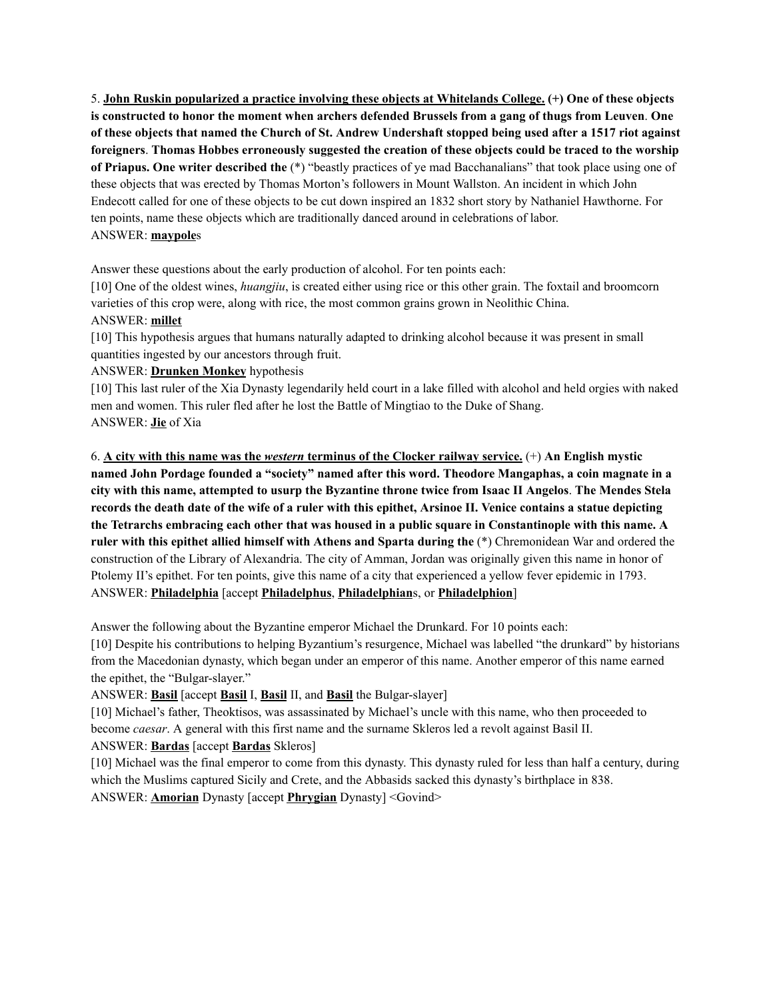5. **John Ruskin popularized a practice involving these objects at Whitelands College. (+) One of these objects** is constructed to honor the moment when archers defended Brussels from a gang of thugs from Leuven. One of these objects that named the Church of St. Andrew Undershaft stopped being used after a 1517 riot against **foreigners**. **Thomas Hobbes erroneously suggested the creation of these objects could be traced to the worship of Priapus. One writer described the** (\*) "beastly practices of ye mad Bacchanalians" that took place using one of these objects that was erected by Thomas Morton's followers in Mount Wallston. An incident in which John Endecott called for one of these objects to be cut down inspired an 1832 short story by Nathaniel Hawthorne. For ten points, name these objects which are traditionally danced around in celebrations of labor. ANSWER: **maypole**s

Answer these questions about the early production of alcohol. For ten points each:

[10] One of the oldest wines, *huangjiu*, is created either using rice or this other grain. The foxtail and broomcorn varieties of this crop were, along with rice, the most common grains grown in Neolithic China. ANSWER: **millet**

[10] This hypothesis argues that humans naturally adapted to drinking alcohol because it was present in small quantities ingested by our ancestors through fruit.

## ANSWER: **Drunken Monkey** hypothesis

[10] This last ruler of the Xia Dynasty legendarily held court in a lake filled with alcohol and held orgies with naked men and women. This ruler fled after he lost the Battle of Mingtiao to the Duke of Shang. ANSWER: **Jie** of Xia

6. **A city with this name was the** *western* **terminus of the Clocker railway service.** (+) **An English mystic named John Pordage founded a "society" named after this word. Theodore Mangaphas, a coin magnate in a** city with this name, attempted to usurp the Byzantine throne twice from Isaac II Angelos. The Mendes Stela records the death date of the wife of a ruler with this epithet, Arsinoe II. Venice contains a statue depicting the Tetrarchs embracing each other that was housed in a public square in Constantinople with this name. A **ruler with this epithet allied himself with Athens and Sparta during the** (\*) Chremonidean War and ordered the construction of the Library of Alexandria. The city of Amman, Jordan was originally given this name in honor of Ptolemy II's epithet. For ten points, give this name of a city that experienced a yellow fever epidemic in 1793. ANSWER: **Philadelphia** [accept **Philadelphus**, **Philadelphian**s, or **Philadelphion**]

Answer the following about the Byzantine emperor Michael the Drunkard. For 10 points each:

[10] Despite his contributions to helping Byzantium's resurgence, Michael was labelled "the drunkard" by historians from the Macedonian dynasty, which began under an emperor of this name. Another emperor of this name earned the epithet, the "Bulgar-slayer."

ANSWER: **Basil** [accept **Basil** I, **Basil** II, and **Basil** the Bulgar-slayer]

[10] Michael's father, Theoktisos, was assassinated by Michael's uncle with this name, who then proceeded to become *caesar*. A general with this first name and the surname Skleros led a revolt against Basil II. ANSWER: **Bardas** [accept **Bardas** Skleros]

[10] Michael was the final emperor to come from this dynasty. This dynasty ruled for less than half a century, during which the Muslims captured Sicily and Crete, and the Abbasids sacked this dynasty's birthplace in 838. ANSWER: **Amorian** Dynasty [accept **Phrygian** Dynasty] <Govind>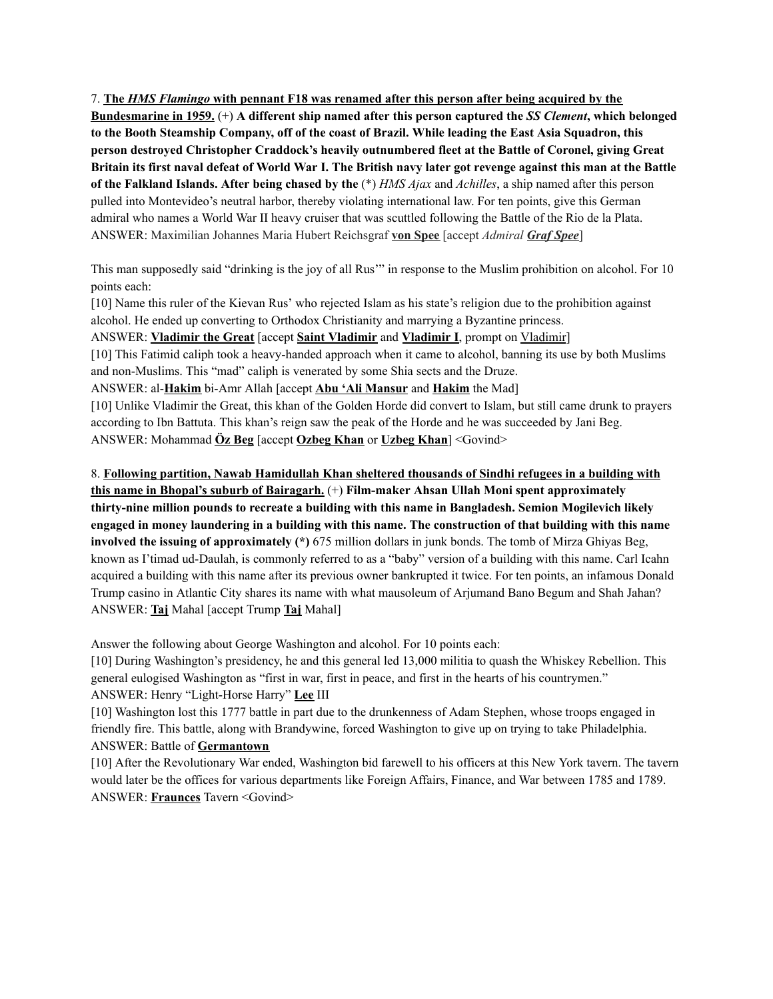7. **The** *HMS Flamingo* **with pennant F18 was renamed after this person after being acquired by the** Bundesmarine in 1959.  $(+)$  A different ship named after this person captured the SS Clement, which belonged to the Booth Steamship Company, off of the coast of Brazil. While leading the East Asia Squadron, this **person destroyed Christopher Craddock's heavily outnumbered fleet at the Battle of Coronel, giving Great** Britain its first naval defeat of World War I. The British navy later got revenge against this man at the Battle **of the Falkland Islands. After being chased by the** (\*) *HMS Ajax* and *Achilles*, a ship named after this person pulled into Montevideo's neutral harbor, thereby violating international law. For ten points, give this German admiral who names a World War II heavy cruiser that was scuttled following the Battle of the Rio de la Plata. ANSWER: Maximilian Johannes Maria Hubert Reichsgraf **von Spee** [accept *Admiral Graf Spee*]

This man supposedly said "drinking is the joy of all Rus'" in response to the Muslim prohibition on alcohol. For 10 points each:

[10] Name this ruler of the Kievan Rus' who rejected Islam as his state's religion due to the prohibition against alcohol. He ended up converting to Orthodox Christianity and marrying a Byzantine princess. ANSWER: **Vladimir the Great** [accept **Saint Vladimir** and **Vladimir I**, prompt on Vladimir] [10] This Fatimid caliph took a heavy-handed approach when it came to alcohol, banning its use by both Muslims and non-Muslims. This "mad" caliph is venerated by some Shia sects and the Druze. ANSWER: al-**Hakim** bi-Amr Allah [accept **Abu 'Ali Mansur** and **Hakim** the Mad] [10] Unlike Vladimir the Great, this khan of the Golden Horde did convert to Islam, but still came drunk to prayers according to Ibn Battuta. This khan's reign saw the peak of the Horde and he was succeeded by Jani Beg. ANSWER: Mohammad **Öz Beg** [accept **Ozbeg Khan** or **Uzbeg Khan**] <Govind>

8. **Following partition, Nawab Hamidullah Khan sheltered thousands of Sindhi refugees in a building with this name in Bhopal's suburb of Bairagarh.** (+) **Film-maker Ahsan Ullah Moni spent approximately thirty-nine million pounds to recreate a building with this name in Bangladesh. Semion Mogilevich likely** engaged in money laundering in a building with this name. The construction of that building with this name **involved the issuing of approximately (\*)** 675 million dollars in junk bonds. The tomb of Mirza Ghiyas Beg, known as I'timad ud-Daulah, is commonly referred to as a "baby" version of a building with this name. Carl Icahn acquired a building with this name after its previous owner bankrupted it twice. For ten points, an infamous Donald Trump casino in Atlantic City shares its name with what mausoleum of Arjumand Bano Begum and Shah Jahan? ANSWER: **Taj** Mahal [accept Trump **Taj** Mahal]

Answer the following about George Washington and alcohol. For 10 points each:

[10] During Washington's presidency, he and this general led 13,000 militia to quash the Whiskey Rebellion. This general eulogised Washington as "first in war, first in peace, and first in the hearts of his countrymen." ANSWER: Henry "Light-Horse Harry" **Lee** III

[10] Washington lost this 1777 battle in part due to the drunkenness of Adam Stephen, whose troops engaged in friendly fire. This battle, along with Brandywine, forced Washington to give up on trying to take Philadelphia. ANSWER: Battle of **Germantown**

[10] After the Revolutionary War ended, Washington bid farewell to his officers at this New York tavern. The tavern would later be the offices for various departments like Foreign Affairs, Finance, and War between 1785 and 1789. ANSWER: **Fraunces** Tavern <Govind>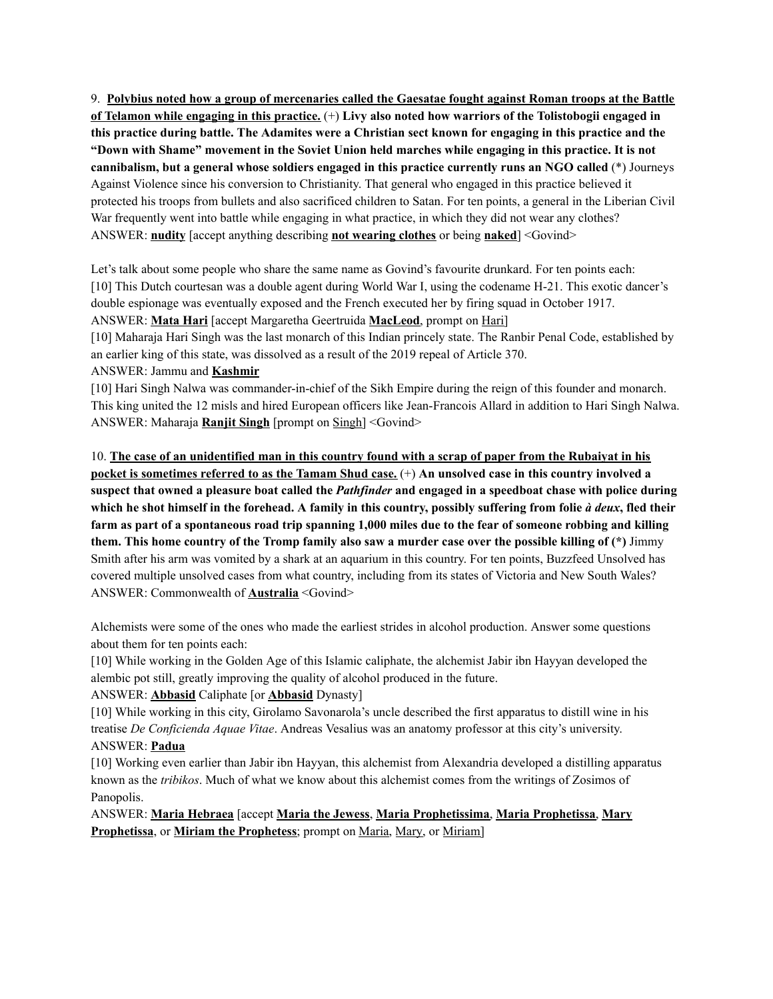9. Polybius noted how a group of mercenaries called the Gaesatae fought against Roman troops at the Battle of Telamon while engaging in this practice.  $(+)$  Livy also noted how warriors of the Tolistobogii engaged in this practice during battle. The Adamites were a Christian sect known for engaging in this practice and the "Down with Shame" movement in the Soviet Union held marches while engaging in this practice. It is not **cannibalism, but a general whose soldiers engaged in this practice currently runs an NGO called** (\*) Journeys Against Violence since his conversion to Christianity. That general who engaged in this practice believed it protected his troops from bullets and also sacrificed children to Satan. For ten points, a general in the Liberian Civil War frequently went into battle while engaging in what practice, in which they did not wear any clothes? ANSWER: **nudity** [accept anything describing **not wearing clothes** or being **naked**] <Govind>

Let's talk about some people who share the same name as Govind's favourite drunkard. For ten points each: [10] This Dutch courtesan was a double agent during World War I, using the codename H-21. This exotic dancer's double espionage was eventually exposed and the French executed her by firing squad in October 1917. ANSWER: **Mata Hari** [accept Margaretha Geertruida **MacLeod**, prompt on Hari]

[10] Maharaja Hari Singh was the last monarch of this Indian princely state. The Ranbir Penal Code, established by an earlier king of this state, was dissolved as a result of the 2019 repeal of Article 370.

#### ANSWER: Jammu and **Kashmir**

[10] Hari Singh Nalwa was commander-in-chief of the Sikh Empire during the reign of this founder and monarch. This king united the 12 misls and hired European officers like Jean-Francois Allard in addition to Hari Singh Nalwa. ANSWER: Maharaja **Ranjit Singh** [prompt on Singh] <Govind>

10. The case of an unidentified man in this country found with a scrap of paper from the Rubaiyat in his pocket is sometimes referred to as the Tamam Shud case. (+) An unsolved case in this country involved a suspect that owned a pleasure boat called the Pathfinder and engaged in a speedboat chase with police during which he shot himself in the forehead. A family in this country, possibly suffering from folie à deux, fled their farm as part of a spontaneous road trip spanning 1,000 miles due to the fear of someone robbing and killing them. This home country of the Tromp family also saw a murder case over the possible killing of (\*) Jimmy Smith after his arm was vomited by a shark at an aquarium in this country. For ten points, Buzzfeed Unsolved has covered multiple unsolved cases from what country, including from its states of Victoria and New South Wales? ANSWER: Commonwealth of **Australia** <Govind>

Alchemists were some of the ones who made the earliest strides in alcohol production. Answer some questions about them for ten points each:

[10] While working in the Golden Age of this Islamic caliphate, the alchemist Jabir ibn Hayyan developed the alembic pot still, greatly improving the quality of alcohol produced in the future.

#### ANSWER: **Abbasid** Caliphate [or **Abbasid** Dynasty]

[10] While working in this city, Girolamo Savonarola's uncle described the first apparatus to distill wine in his treatise *De Conficienda Aquae Vitae*. Andreas Vesalius was an anatomy professor at this city's university. ANSWER: **Padua**

[10] Working even earlier than Jabir ibn Hayyan, this alchemist from Alexandria developed a distilling apparatus known as the *tribikos*. Much of what we know about this alchemist comes from the writings of Zosimos of Panopolis.

ANSWER: **Maria Hebraea** [accept **Maria the Jewess**, **Maria Prophetissima**, **Maria Prophetissa**, **Mary Prophetissa**, or **Miriam the Prophetess**; prompt on Maria, Mary, or Miriam]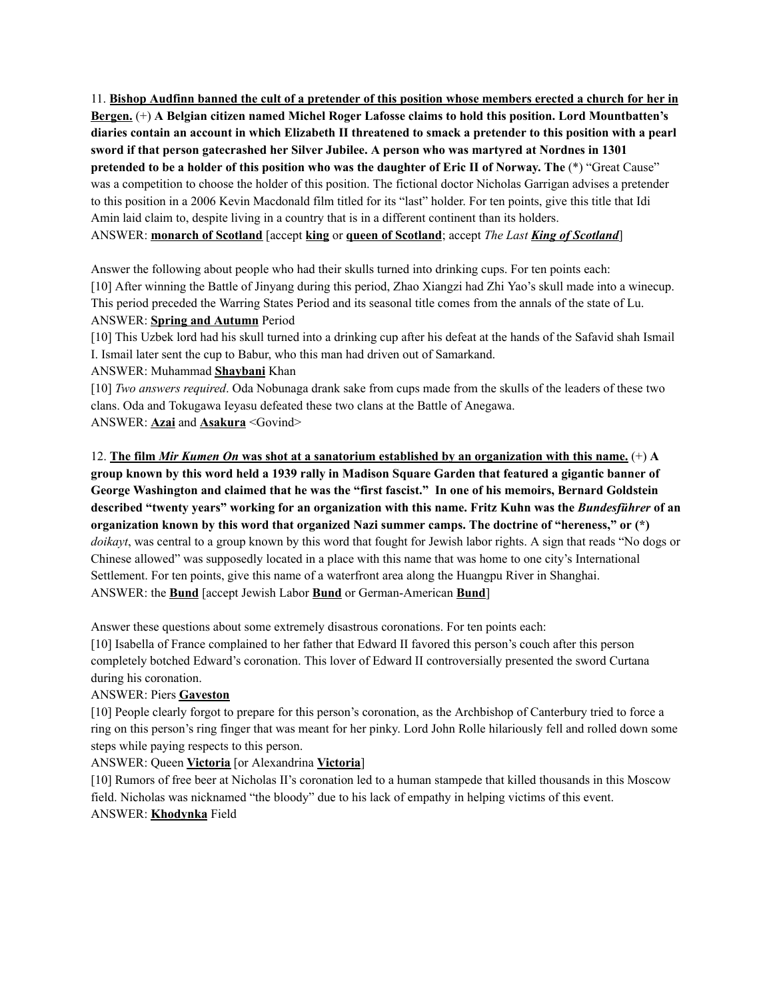11. Bishop Audfinn banned the cult of a pretender of this position whose members erected a church for her in **Bergen.** (+) **A Belgian citizen named Michel Roger Lafosse claims to hold this position. Lord Mountbatten's** diaries contain an account in which Elizabeth II threatened to smack a pretender to this position with a pearl **sword if that person gatecrashed her Silver Jubilee. A person who was martyred at Nordnes in 1301** pretended to be a holder of this position who was the daughter of Eric II of Norway. The (\*) "Great Cause" was a competition to choose the holder of this position. The fictional doctor Nicholas Garrigan advises a pretender to this position in a 2006 Kevin Macdonald film titled for its "last" holder. For ten points, give this title that Idi Amin laid claim to, despite living in a country that is in a different continent than its holders. ANSWER: **monarch of Scotland** [accept **king** or **queen of Scotland**; accept *The Last King of Scotland*]

Answer the following about people who had their skulls turned into drinking cups. For ten points each: [10] After winning the Battle of Jinyang during this period, Zhao Xiangzi had Zhi Yao's skull made into a winecup. This period preceded the Warring States Period and its seasonal title comes from the annals of the state of Lu. ANSWER: **Spring and Autumn** Period

[10] This Uzbek lord had his skull turned into a drinking cup after his defeat at the hands of the Safavid shah Ismail I. Ismail later sent the cup to Babur, who this man had driven out of Samarkand.

#### ANSWER: Muhammad **Shaybani** Khan

[10] *Two answers required*. Oda Nobunaga drank sake from cups made from the skulls of the leaders of these two clans. Oda and Tokugawa Ieyasu defeated these two clans at the Battle of Anegawa. ANSWER: **Azai** and **Asakura** <Govind>

12. The film Mir Kumen On was shot at a sanatorium established by an organization with this name.  $(+)$  A group known by this word held a 1939 rally in Madison Square Garden that featured a gigantic banner of **George Washington and claimed that he was the "first fascist." In one of his memoirs, Bernard Goldstein** described "twenty years" working for an organization with this name. Fritz Kuhn was the Bundesführer of an **organization known by this word that organized Nazi summer camps. The doctrine of "hereness," or (\*)** *doikayt*, was central to a group known by this word that fought for Jewish labor rights. A sign that reads "No dogs or Chinese allowed" was supposedly located in a place with this name that was home to one city's International Settlement. For ten points, give this name of a waterfront area along the Huangpu River in Shanghai. ANSWER: the **Bund** [accept Jewish Labor **Bund** or German-American **Bund**]

Answer these questions about some extremely disastrous coronations. For ten points each:

[10] Isabella of France complained to her father that Edward II favored this person's couch after this person completely botched Edward's coronation. This lover of Edward II controversially presented the sword Curtana during his coronation.

# ANSWER: Piers **Gaveston**

[10] People clearly forgot to prepare for this person's coronation, as the Archbishop of Canterbury tried to force a ring on this person's ring finger that was meant for her pinky. Lord John Rolle hilariously fell and rolled down some steps while paying respects to this person.

# ANSWER: Queen **Victoria** [or Alexandrina **Victoria**]

[10] Rumors of free beer at Nicholas II's coronation led to a human stampede that killed thousands in this Moscow field. Nicholas was nicknamed "the bloody" due to his lack of empathy in helping victims of this event. ANSWER: **Khodynka** Field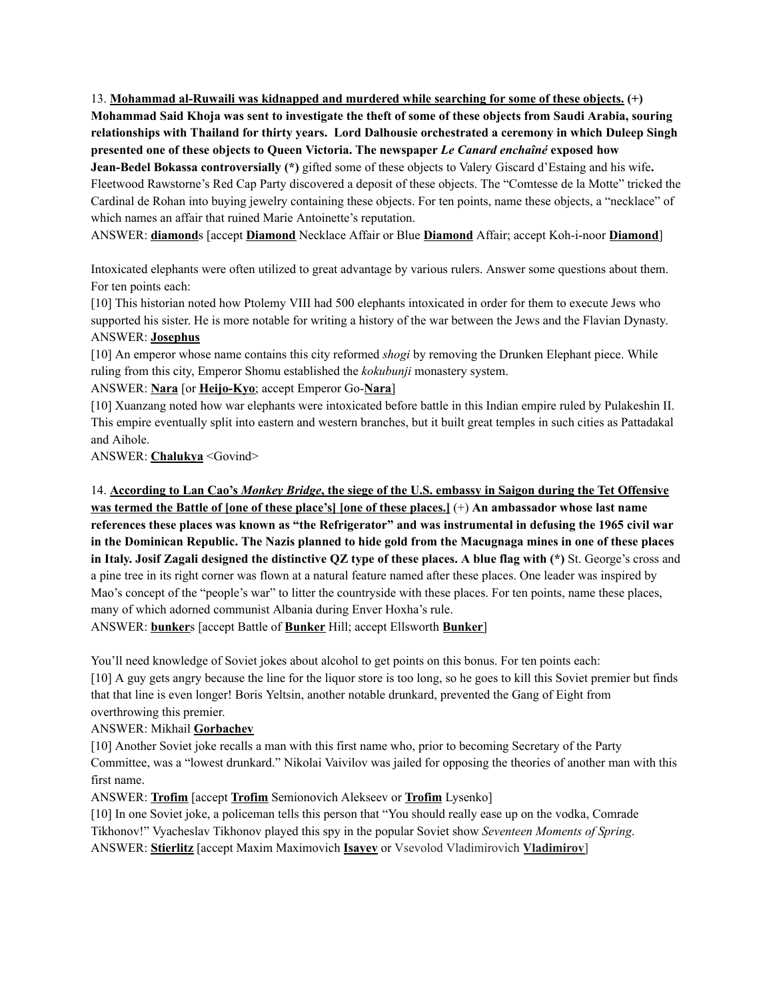13. **Mohammad al-Ruwaili was kidnapped and murdered while searching for some of these objects. (+)** Mohammad Said Khoja was sent to investigate the theft of some of these objects from Saudi Arabia, souring **relationships with Thailand for thirty years. Lord Dalhousie orchestrated a ceremony in which Duleep Singh presented one of these objects to Queen Victoria. The newspaper** *Le Canard enchaîné* **exposed how Jean-Bedel Bokassa controversially (\*)** gifted some of these objects to Valery Giscard d'Estaing and his wife**.** Fleetwood Rawstorne's Red Cap Party discovered a deposit of these objects. The "Comtesse de la Motte" tricked the Cardinal de Rohan into buying jewelry containing these objects. For ten points, name these objects, a "necklace" of which names an affair that ruined Marie Antoinette's reputation.

ANSWER: **diamond**s [accept **Diamond** Necklace Affair or Blue **Diamond** Affair; accept Koh-i-noor **Diamond**]

Intoxicated elephants were often utilized to great advantage by various rulers. Answer some questions about them. For ten points each:

[10] This historian noted how Ptolemy VIII had 500 elephants intoxicated in order for them to execute Jews who supported his sister. He is more notable for writing a history of the war between the Jews and the Flavian Dynasty. ANSWER: **Josephus**

[10] An emperor whose name contains this city reformed *shogi* by removing the Drunken Elephant piece. While ruling from this city, Emperor Shomu established the *kokubunji* monastery system.

#### ANSWER: **Nara** [or **Heijo-Kyo**; accept Emperor Go-**Nara**]

[10] Xuanzang noted how war elephants were intoxicated before battle in this Indian empire ruled by Pulakeshin II. This empire eventually split into eastern and western branches, but it built great temples in such cities as Pattadakal and Aihole.

ANSWER: **Chalukya** <Govind>

14. According to Lan Cao's Monkey Bridge, the siege of the U.S. embassy in Saigon during the Tet Offensive was termed the Battle of [one of these place's] [one of these places.]  $(+)$  An ambassador whose last name references these places was known as "the Refrigerator" and was instrumental in defusing the 1965 civil war in the Dominican Republic. The Nazis planned to hide gold from the Macugnaga mines in one of these places in Italy. Josif Zagali designed the distinctive QZ type of these places. A blue flag with  $(*)$  St. George's cross and a pine tree in its right corner was flown at a natural feature named after these places. One leader was inspired by Mao's concept of the "people's war" to litter the countryside with these places. For ten points, name these places, many of which adorned communist Albania during Enver Hoxha's rule. ANSWER: **bunker**s [accept Battle of **Bunker** Hill; accept Ellsworth **Bunker**]

You'll need knowledge of Soviet jokes about alcohol to get points on this bonus. For ten points each: [10] A guy gets angry because the line for the liquor store is too long, so he goes to kill this Soviet premier but finds that that line is even longer! Boris Yeltsin, another notable drunkard, prevented the Gang of Eight from overthrowing this premier.

#### ANSWER: Mikhail **Gorbachev**

[10] Another Soviet joke recalls a man with this first name who, prior to becoming Secretary of the Party Committee, was a "lowest drunkard." Nikolai Vaivilov was jailed for opposing the theories of another man with this first name.

ANSWER: **Trofim** [accept **Trofim** Semionovich Alekseev or **Trofim** Lysenko]

[10] In one Soviet joke, a policeman tells this person that "You should really ease up on the vodka, Comrade Tikhonov!" Vyacheslav Tikhonov played this spy in the popular Soviet show *Seventeen Moments of Spring*. ANSWER: **Stierlitz** [accept Maxim Maximovich **Isayev** or Vsevolod Vladimirovich **Vladimirov**]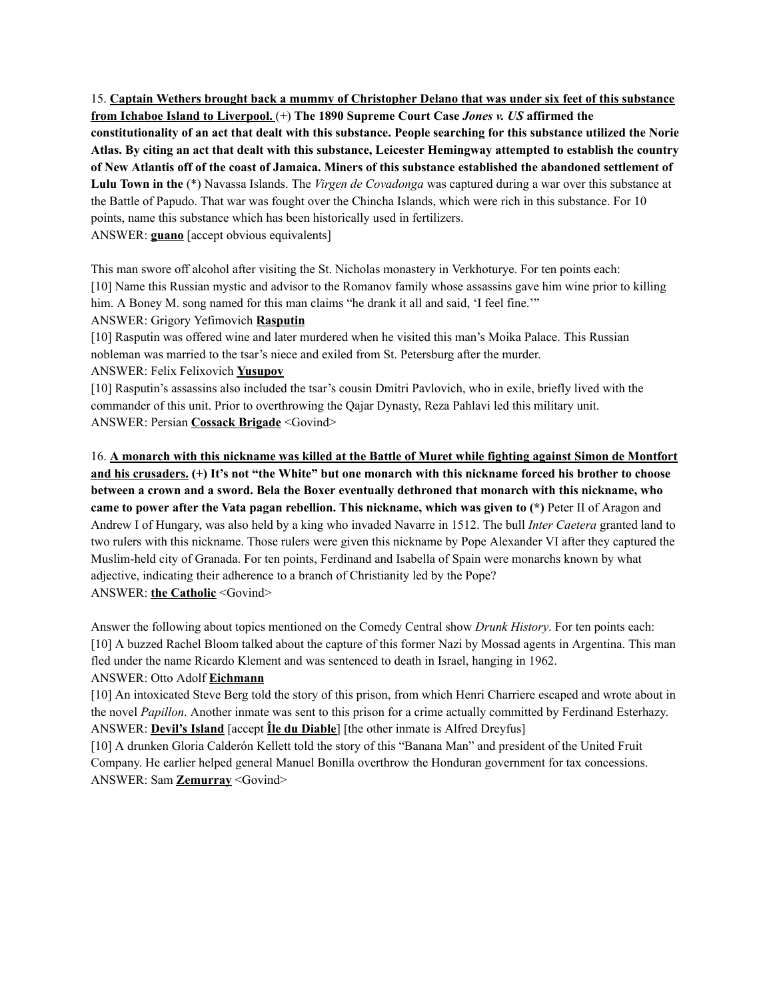15. **Captain Wethers brought back a mummy of Christopher Delano that was under six feet of this substance from Ichaboe Island to Liverpool.** (+) **The 1890 Supreme Court Case** *Jones v. US* **affirmed the** constitutionality of an act that dealt with this substance. People searching for this substance utilized the Norie Atlas. By citing an act that dealt with this substance, Leicester Hemingway attempted to establish the country of New Atlantis off of the coast of Jamaica. Miners of this substance established the abandoned settlement of **Lulu Town in the** (\*) Navassa Islands. The *Virgen de Covadonga* was captured during a war over this substance at the Battle of Papudo. That war was fought over the Chincha Islands, which were rich in this substance. For 10 points, name this substance which has been historically used in fertilizers. ANSWER: **guano** [accept obvious equivalents]

This man swore off alcohol after visiting the St. Nicholas monastery in Verkhoturye. For ten points each: [10] Name this Russian mystic and advisor to the Romanov family whose assassins gave him wine prior to killing him. A Boney M. song named for this man claims "he drank it all and said, 'I feel fine.'" ANSWER: Grigory Yefimovich **Rasputin**

[10] Rasputin was offered wine and later murdered when he visited this man's Moika Palace. This Russian nobleman was married to the tsar's niece and exiled from St. Petersburg after the murder.

ANSWER: Felix Felixovich **Yusupov**

[10] Rasputin's assassins also included the tsar's cousin Dmitri Pavlovich, who in exile, briefly lived with the commander of this unit. Prior to overthrowing the Qajar Dynasty, Reza Pahlavi led this military unit. ANSWER: Persian **Cossack Brigade** <Govind>

16. A monarch with this nickname was killed at the Battle of Muret while fighting against Simon de Montfort and his crusaders. (+) It's not "the White" but one monarch with this nickname forced his brother to choose **between a crown and a sword. Bela the Boxer eventually dethroned that monarch with this nickname, who came to power after the Vata pagan rebellion. This nickname, which was given to (\*)** Peter II of Aragon and Andrew I of Hungary, was also held by a king who invaded Navarre in 1512. The bull *Inter Caetera* granted land to two rulers with this nickname. Those rulers were given this nickname by Pope Alexander VI after they captured the Muslim-held city of Granada. For ten points, Ferdinand and Isabella of Spain were monarchs known by what adjective, indicating their adherence to a branch of Christianity led by the Pope? ANSWER: **the Catholic** <Govind>

Answer the following about topics mentioned on the Comedy Central show *Drunk History*. For ten points each: [10] A buzzed Rachel Bloom talked about the capture of this former Nazi by Mossad agents in Argentina. This man fled under the name Ricardo Klement and was sentenced to death in Israel, hanging in 1962.

#### ANSWER: Otto Adolf **Eichmann**

[10] An intoxicated Steve Berg told the story of this prison, from which Henri Charriere escaped and wrote about in the novel *Papillon*. Another inmate was sent to this prison for a crime actually committed by Ferdinand Esterhazy. ANSWER: **Devil's Island** [accept **Île du Diable**] [the other inmate is Alfred Dreyfus]

[10] A drunken Gloria Calderón Kellett told the story of this "Banana Man" and president of the United Fruit Company. He earlier helped general Manuel Bonilla overthrow the Honduran government for tax concessions. ANSWER: Sam **Zemurray** <Govind>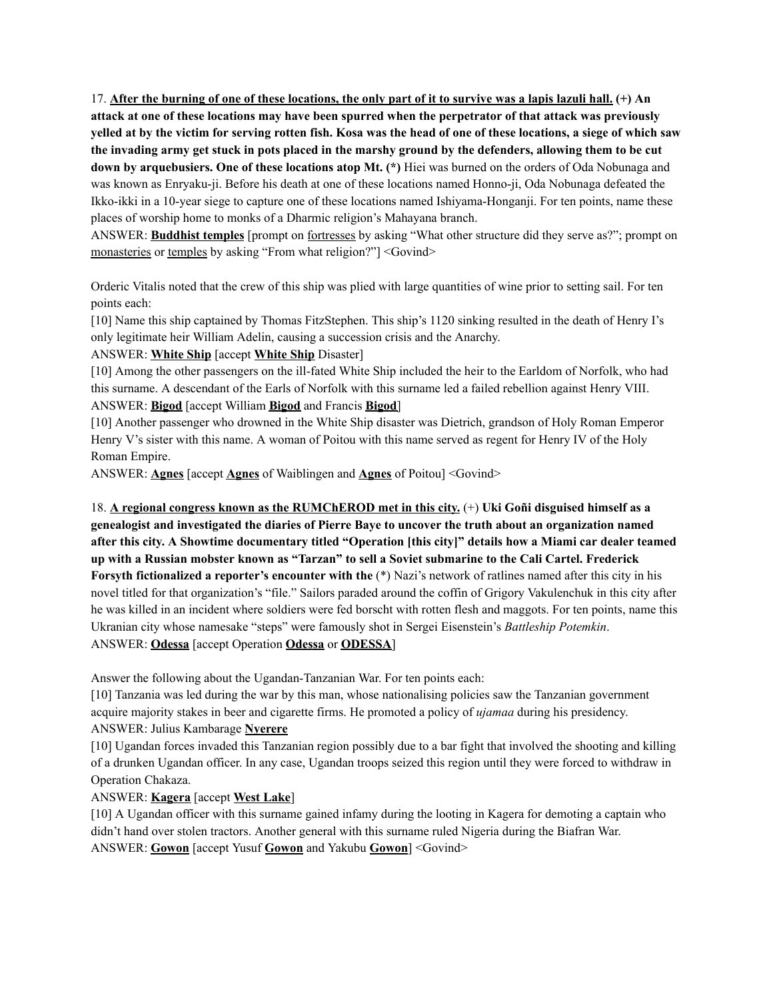17. After the burning of one of these locations, the only part of it to survive was a lapis lazuli hall.  $(+)$  An attack at one of these locations may have been spurred when the perpetrator of that attack was previously yelled at by the victim for serving rotten fish. Kosa was the head of one of these locations, a siege of which saw the invading army get stuck in pots placed in the marshy ground by the defenders, allowing them to be cut **down by arquebusiers. One of these locations atop Mt. (\*)** Hiei was burned on the orders of Oda Nobunaga and was known as Enryaku-ji. Before his death at one of these locations named Honno-ji, Oda Nobunaga defeated the Ikko-ikki in a 10-year siege to capture one of these locations named Ishiyama-Honganji. For ten points, name these places of worship home to monks of a Dharmic religion's Mahayana branch.

ANSWER: **Buddhist temples** [prompt on fortresses by asking "What other structure did they serve as?"; prompt on monasteries or temples by asking "From what religion?"] <Govind>

Orderic Vitalis noted that the crew of this ship was plied with large quantities of wine prior to setting sail. For ten points each:

[10] Name this ship captained by Thomas FitzStephen. This ship's 1120 sinking resulted in the death of Henry I's only legitimate heir William Adelin, causing a succession crisis and the Anarchy.

#### ANSWER: **White Ship** [accept **White Ship** Disaster]

[10] Among the other passengers on the ill-fated White Ship included the heir to the Earldom of Norfolk, who had this surname. A descendant of the Earls of Norfolk with this surname led a failed rebellion against Henry VIII. ANSWER: **Bigod** [accept William **Bigod** and Francis **Bigod**]

[10] Another passenger who drowned in the White Ship disaster was Dietrich, grandson of Holy Roman Emperor Henry V's sister with this name. A woman of Poitou with this name served as regent for Henry IV of the Holy Roman Empire.

ANSWER: **Agnes** [accept **Agnes** of Waiblingen and **Agnes** of Poitou] <Govind>

18. **A regional congress known as the RUMChEROD met in this city.** (+) **Uki Goñi disguised himself as a genealogist and investigated the diaries of Pierre Baye to uncover the truth about an organization named** after this city. A Showtime documentary titled "Operation [this city]" details how a Miami car dealer teamed up with a Russian mobster known as "Tarzan" to sell a Soviet submarine to the Cali Cartel. Frederick **Forsyth fictionalized a reporter's encounter with the** (\*) Nazi's network of ratlines named after this city in his novel titled for that organization's "file." Sailors paraded around the coffin of Grigory Vakulenchuk in this city after he was killed in an incident where soldiers were fed borscht with rotten flesh and maggots. For ten points, name this Ukranian city whose namesake "steps" were famously shot in Sergei Eisenstein's *Battleship Potemkin*. ANSWER: **Odessa** [accept Operation **Odessa** or **ODESSA**]

Answer the following about the Ugandan-Tanzanian War. For ten points each:

[10] Tanzania was led during the war by this man, whose nationalising policies saw the Tanzanian government acquire majority stakes in beer and cigarette firms. He promoted a policy of *ujamaa* during his presidency. ANSWER: Julius Kambarage **Nyerere**

[10] Ugandan forces invaded this Tanzanian region possibly due to a bar fight that involved the shooting and killing of a drunken Ugandan officer. In any case, Ugandan troops seized this region until they were forced to withdraw in Operation Chakaza.

# ANSWER: **Kagera** [accept **West Lake**]

[10] A Ugandan officer with this surname gained infamy during the looting in Kagera for demoting a captain who didn't hand over stolen tractors. Another general with this surname ruled Nigeria during the Biafran War. ANSWER: **Gowon** [accept Yusuf **Gowon** and Yakubu **Gowon**] <Govind>